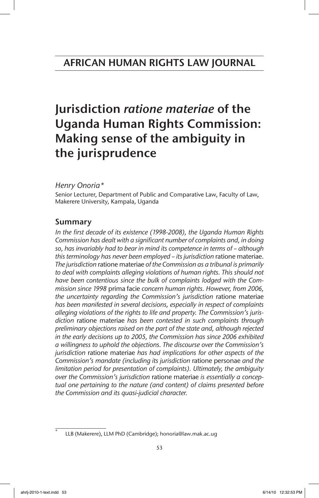# Jurisdiction *ratione materiae* of the Uganda Human Rights Commission: Making sense of the ambiguity in the jurisprudence

# *Henry Onoria\**

Senior Lecturer, Department of Public and Comparative Law, Faculty of Law, Makerere University, Kampala, Uganda

# Summary

*In the first decade of its existence (1998-2008), the Uganda Human Rights Commission has dealt with a significant number of complaints and, in doing so, has invariably had to bear in mind its competence in terms of – although this terminology has never been employed – its jurisdiction* ratione materiae. *The jurisdiction* ratione materiae *of the Commission as a tribunal is primarily to deal with complaints alleging violations of human rights. This should not have been contentious since the bulk of complaints lodged with the Commission since 1998* prima facie *concern human rights. However, from 2006, the uncertainty regarding the Commission's jurisdiction* ratione materiae *has been manifested in several decisions, especially in respect of complaints alleging violations of the rights to life and property. The Commission's jurisdiction* ratione materiae *has been contested in such complaints through preliminary objections raised on the part of the state and, although rejected in the early decisions up to 2005, the Commission has since 2006 exhibited a willingness to uphold the objections. The discourse over the Commission's jurisdiction* ratione materiae *has had implications for other aspects of the Commission's mandate (including its jurisdiction* ratione personae *and the limitation period for presentation of complaints). Ultimately, the ambiguity over the Commission's jurisdiction* ratione materiae *is essentially a conceptual one pertaining to the nature (and content) of claims presented before the Commission and its quasi*-*judicial character.*

LLB (Makerere), LLM PhD (Cambridge); honoria@law.mak.ac.ug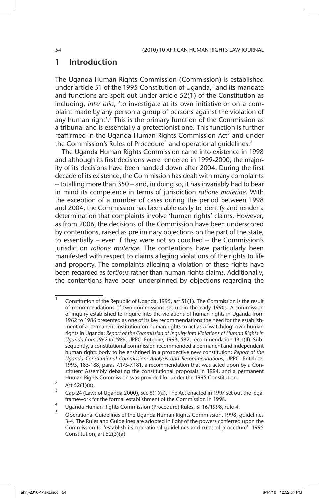### 1 Introduction

The Uganda Human Rights Commission (Commission) is established under article 51 of the 1995 Constitution of Uganda, $1$  and its mandate and functions are spelt out under article 52(1) of the Constitution as including, *inter alia*, 'to investigate at its own initiative or on a complaint made by any person a group of persons against the violation of any human right'.<sup>2</sup> This is the primary function of the Commission as a tribunal and is essentially a protectionist one. This function is further reaffirmed in the Uganda Human Rights Commission Act<sup>3</sup> and under the Commission's Rules of Procedure<sup>4</sup> and operational guidelines.<sup>5</sup>

The Uganda Human Rights Commission came into existence in 1998 and although its first decisions were rendered in 1999-2000, the majority of its decisions have been handed down after 2004. During the first decade of its existence, the Commission has dealt with many complaints – totalling more than 350 – and, in doing so, it has invariably had to bear in mind its competence in terms of jurisdiction *ratione materiae*. With the exception of a number of cases during the period between 1998 and 2004, the Commission has been able easily to identify and render a determination that complaints involve 'human rights' claims. However, as from 2006, the decisions of the Commission have been underscored by contentions, raised as preliminary objections on the part of the state, to essentially – even if they were not so couched – the Commission's jurisdiction *ratione materiae*. The contentions have particularly been manifested with respect to claims alleging violations of the rights to life and property. The complaints alleging a violation of these rights have been regarded as *tortious* rather than human rights claims. Additionally, the contentions have been underpinned by objections regarding the

 $\frac{2}{3}$  Art 52(1)(a).

Cap 24 (Laws of Uganda 2000), sec 8(1)(a). The Act enacted in 1997 set out the legal framework for the formal establishment of the Commission in 1998.

<sup>&</sup>lt;sup>1</sup> Constitution of the Republic of Uganda, 1995, art 51(1). The Commission is the result of recommendations of two commissions set up in the early 1990s. A commission of inquiry established to inquire into the violations of human rights in Uganda from 1962 to 1986 presented as one of its key recommendations the need for the establishment of a permanent institution on human rights to act as a 'watchdog' over human rights in Uganda: *Report of the Commission of Inquiry into Violations of Human Rights in Uganda from 1962 to 1986*, UPPC, Entebbe, 1993, 582, recommendation 13.1(II). Subsequently, a constitutional commission recommended a permanent and independent human rights body to be enshrined in a prospective new constitution: *Report of the Uganda Constitutional Commission: Analysis and Recommendations*, UPPC, Entebbe, 1993, 185-188, paras 7.175-7.181, a recommendation that was acted upon by a Constituent Assembly debating the constitutional proposals in 1994, and a permanent Human Rights Commission was provided for under the 1995 Constitution.

<sup>4</sup> Uganda Human Rights Commission (Procedure) Rules, SI 16/1998, rule 4.

<sup>5</sup> Operational Guidelines of the Uganda Human Rights Commission, 1998, guidelines 3-4. The Rules and Guidelines are adopted in light of the powers conferred upon the Commission to 'establish its operational guidelines and rules of procedure'. 1995 Constitution, art 52(3)(a).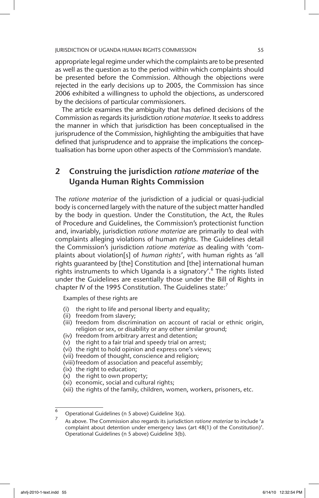appropriate legal regime under which the complaints are to be presented as well as the question as to the period within which complaints should be presented before the Commission. Although the objections were rejected in the early decisions up to 2005, the Commission has since 2006 exhibited a willingness to uphold the objections, as underscored by the decisions of particular commissioners.

The article examines the ambiguity that has defined decisions of the Commission as regards its jurisdiction *ratione materiae*. It seeks to address the manner in which that jurisdiction has been conceptualised in the jurisprudence of the Commission, highlighting the ambiguities that have defined that jurisprudence and to appraise the implications the conceptualisation has borne upon other aspects of the Commission's mandate.

# 2 Construing the jurisdiction *ratione materiae* of the Uganda Human Rights Commission

The *ratione materiae* of the jurisdiction of a judicial or quasi-judicial body is concerned largely with the nature of the subject matter handled by the body in question. Under the Constitution, the Act, the Rules of Procedure and Guidelines, the Commission's protectionist function and, invariably, jurisdiction *ratione materiae* are primarily to deal with complaints alleging violations of human rights. The Guidelines detail the Commission's jurisdiction *ratione materiae* as dealing with 'complaints about violation[s] of *human rights*', with human rights as 'all rights guaranteed by [the] Constitution and [the] international human rights instruments to which Uganda is a signatory'.<sup>6</sup> The rights listed under the Guidelines are essentially those under the Bill of Rights in chapter IV of the 1995 Constitution. The Guidelines state: $<sup>7</sup>$ </sup>

Examples of these rights are

- (i) the right to life and personal liberty and equality;
- (ii) freedom from slavery;
- (iii) freedom from discrimination on account of racial or ethnic origin, religion or sex, or disability or any other similar ground;
- (iv) freedom from arbitrary arrest and detention;
- (v) the right to a fair trial and speedy trial on arrest;
- (vi) the right to hold opinion and express one's views;
- (vii) freedom of thought, conscience and religion;
- (viii)freedom of association and peaceful assembly;
- (ix) the right to education;
- (x) the right to own property;
- (xi) economic, social and cultural rights;
- (xii) the rights of the family, children, women, workers, prisoners, etc.

 $\overline{6}$  Operational Guidelines (n 5 above) Guideline 3(a).

<sup>7</sup> As above. The Commission also regards its jurisdiction *ratione materiae* to include 'a complaint about detention under emergency laws (art 48(1) of the Constitution)'. Operational Guidelines (n 5 above) Guideline 3(b).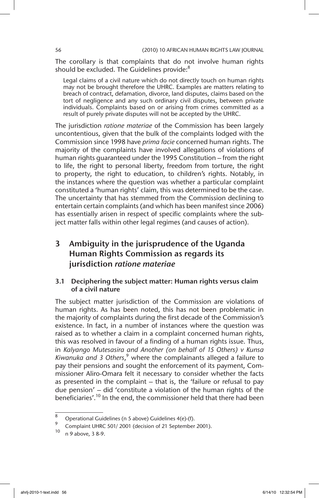The corollary is that complaints that do not involve human rights should be excluded. The Guidelines provide:<sup>8</sup>

Legal claims of a civil nature which do not directly touch on human rights may not be brought therefore the UHRC. Examples are matters relating to breach of contract, defamation, divorce, land disputes, claims based on the tort of negligence and any such ordinary civil disputes, between private individuals. Complaints based on or arising from crimes committed as a result of purely private disputes will not be accepted by the UHRC.

The jurisdiction *ratione materiae* of the Commission has been largely uncontentious, given that the bulk of the complaints lodged with the Commission since 1998 have *prima facie* concerned human rights. The majority of the complaints have involved allegations of violations of human rights guaranteed under the 1995 Constitution – from the right to life, the right to personal liberty, freedom from torture, the right to property, the right to education, to children's rights. Notably, in the instances where the question was whether a particular complaint constituted a 'human rights' claim, this was determined to be the case. The uncertainty that has stemmed from the Commission declining to entertain certain complaints (and which has been manifest since 2006) has essentially arisen in respect of specific complaints where the subject matter falls within other legal regimes (and causes of action).

# 3 Ambiguity in the jurisprudence of the Uganda Human Rights Commission as regards its jurisdiction *ratione materiae*

### 3.1 Deciphering the subject matter: Human rights versus claim of a civil nature

The subject matter jurisdiction of the Commission are violations of human rights. As has been noted, this has not been problematic in the majority of complaints during the first decade of the Commission's existence. In fact, in a number of instances where the question was raised as to whether a claim in a complaint concerned human rights, this was resolved in favour of a finding of a human rights issue. Thus, in *Kalyango Mutesasira and Another (on behalf of 15 Others) v Kunsa*  Kiwanuka and 3 Others,<sup>9</sup> where the complainants alleged a failure to pay their pensions and sought the enforcement of its payment, Commissioner Aliro-Omara felt it necessary to consider whether the facts as presented in the complaint – that is, the 'failure or refusal to pay due pension' – did 'constitute a violation of the human rights of the beneficiaries'.<sup>10</sup> In the end, the commissioner held that there had been

<sup>8</sup> Operational Guidelines (n 5 above) Guidelines 4(e)-(f).

<sup>&</sup>lt;sup>9</sup> Complaint UHRC 501/ 2001 (decision of 21 September 2001).

<sup>10</sup> n 9 above, 3 8-9.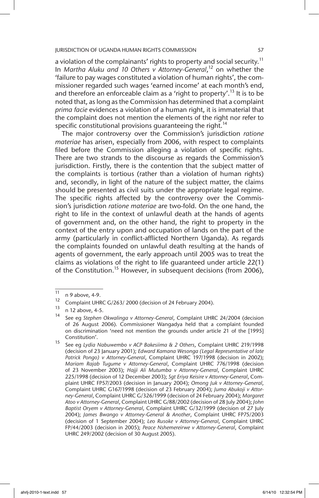a violation of the complainants' rights to property and social security.<sup>11</sup> In *Martha Aluku and 10 Others v Attorney-General*, 12 on whether the 'failure to pay wages constituted a violation of human rights', the commissioner regarded such wages 'earned income' at each month's end, and therefore an enforceable claim as a 'right to property'.<sup>13</sup> It is to be noted that, as long as the Commission has determined that a complaint *prima facie* evidences a violation of a human right, it is immaterial that the complaint does not mention the elements of the right nor refer to specific constitutional provisions quaranteeing the right.<sup>14</sup>

The major controversy over the Commission's jurisdiction *ratione materiae* has arisen, especially from 2006, with respect to complaints filed before the Commission alleging a violation of specific rights. There are two strands to the discourse as regards the Commission's jurisdiction. Firstly, there is the contention that the subject matter of the complaints is tortious (rather than a violation of human rights) and, secondly, in light of the nature of the subject matter, the claims should be presented as civil suits under the appropriate legal regime. The specific rights affected by the controversy over the Commission's jurisdiction *ratione materiae* are two-fold. On the one hand, the right to life in the context of unlawful death at the hands of agents of government and, on the other hand, the right to property in the context of the entry upon and occupation of lands on the part of the army (particularly in conflict-afflicted Northern Uganda). As regards the complaints founded on unlawful death resulting at the hands of agents of government, the early approach until 2005 was to treat the claims as violations of the right to life guaranteed under article 22(1) of the Constitution.<sup>15</sup> However, in subsequent decisions (from 2006),

 $\frac{11}{12}$  n 9 above, 4-9.

<sup>&</sup>lt;sup>12</sup> Complaint UHRC G/263/ 2000 (decision of 24 February 2004).

 $13 \text{ n } 12 \text{ above, } 4-5.$ 

<sup>14</sup> See eg *Stephen Okwalinga v Attorney-General*, Complaint UHRC 24/2004 (decision of 26 August 2006). Commissioner Wangadya held that a complaint founded on discrimination 'need not mention the grounds under article 21 of the [1995] Constitution'.

<sup>15</sup> See eg *Lydia Nabuwembo v ACP Bakesiima & 2 Others*, Complaint UHRC 219/1998 (decision of 23 January 2001); *Edward Kamana Wesonga (Legal Representative of late Patrick Pongo) v Attorney-General*, Complaint UHRC 197/1998 (decision in 2002); *Mariam Rajab Tugume v Attorney-General*, Complaint UHRC 776/1998 (decision of 23 November 2003); *Hajji Ali Mutumba v Attorney-General*, Complaint UHRC 225/1998 (decision of 12 December 2003); *Sgt Eriya Keisire v Attorney-General*, Complaint UHRC FP57/2003 (decision in January 2004); *Omong Juk v Attorney-General*, Complaint UHRC G167/1998 (decision of 23 February 2004); *Juma Abukoji v Attorney-General*, Complaint UHRC G/326/1999 (decision of 24 February 2004); *Margaret Atoo v Attorney-General*, Complaint UHRC G/88/2002 (decision of 28 July 2004); *John Baptist Oryem v Attorney-General*, Complaint UHRC G/32/1999 (decision of 27 July 2004); *James Bwango v Attorney-General & Another*, Complaint UHRC FP75/2003 (decision of 1 September 2004); *Leo Rusoke v Attorney-General*, Complaint UHRC FP/44/2003 (decision in 2005); *Peace Nshemereirwe v Attorney-General*, Complaint UHRC 249/2002 (decision of 30 August 2005).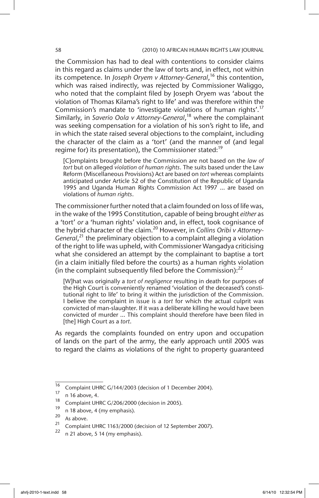#### 58 (2010) 10 AFRICAN HUMAN RIGHTS LAW JOURNAL

the Commission has had to deal with contentions to consider claims in this regard as claims under the law of torts and, in effect, not within its competence. In *Joseph Oryem v Attorney-General*, 16 this contention, which was raised indirectly, was rejected by Commissioner Waliggo, who noted that the complaint filed by Joseph Oryem was 'about the violation of Thomas Kilama's right to life' and was therefore within the Commission's mandate to 'investigate violations of human rights'.<sup>17</sup> Similarly, in *Saverio Oola v Attorney-General*, 18 where the complainant was seeking compensation for a violation of his son's right to life, and in which the state raised several objections to the complaint, including the character of the claim as a 'tort' (and the manner of (and legal regime for) its presentation), the Commissioner stated:<sup>19</sup>

[C]omplaints brought before the Commission are not based on the *law of tort* but on alleged *violation of human rights*. The suits based under the Law Reform (Miscellaneous Provisions) Act are based on *tort* whereas complaints anticipated under Article 52 of the Constitution of the Republic of Uganda 1995 and Uganda Human Rights Commission Act 1997 … are based on violations of *human rights*.

The commissioner further noted that a claim founded on loss of life was, in the wake of the 1995 Constitution, capable of being brought *either* as a 'tort' *or* a 'human rights' violation and, in effect, took cognisance of the hybrid character of the claim.20 However, in *Collins Oribi v Attorney-General*, 21 the preliminary objection to a complaint alleging a violation of the right to life was upheld, with Commissioner Wangadya criticising what she considered an attempt by the complainant to baptise a tort (in a claim initially filed before the courts) as a human rights violation (in the complaint subsequently filed before the Commission): $^{22}$ 

[W]hat was originally a *tort of negligence* resulting in death for purposes of the High Court is conveniently renamed 'violation of the deceased's constitutional right to life' to bring it within the jurisdiction of the Commission. I believe the complaint in issue is a *tort* for which the actual culprit was convicted of man-slaughter. If it was a deliberate killing he would have been convicted of murder … This complaint should therefore have been filed in [the] High Court as a *tort*.

As regards the complaints founded on entry upon and occupation of lands on the part of the army, the early approach until 2005 was to regard the claims as violations of the right to property guaranteed

<sup>&</sup>lt;sup>16</sup> Complaint UHRC G/144/2003 (decision of 1 December 2004).

 $\frac{17}{18}$  n 16 above, 4.

<sup>&</sup>lt;sup>18</sup> Complaint UHRC G/206/2000 (decision in 2005).

 $\frac{19}{20}$  n 18 above, 4 (my emphasis).

 $\frac{20}{21}$  As above.

<sup>&</sup>lt;sup>21</sup> Complaint UHRC 1163/2000 (decision of 12 September 2007).<br><sup>22</sup> a 21 chains 5.14 (museumber).

n 21 above, 5 14 (my emphasis).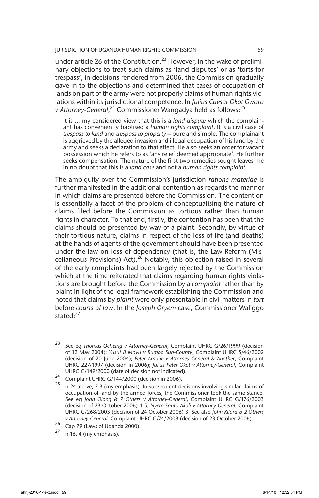under article 26 of the Constitution.<sup>23</sup> However, in the wake of preliminary objections to treat such claims as 'land disputes' or as 'torts for trespass', in decisions rendered from 2006, the Commission gradually gave in to the objections and determined that cases of occupation of lands on part of the army were not properly claims of human rights violations within its jurisdictional competence. In *Julius Caesar Okot Gwara*  v Attorney-General,<sup>24</sup> Commissioner Wangadya held as follows:<sup>25</sup>

It is … my considered view that this is a *land dispute* which the complainant has conveniently baptised a *human rights complaint*. It is a civil case of *trespass to land* and *trespass to property* – pure and simple. The complainant is aggrieved by the alleged invasion and illegal occupation of his land by the army and seeks a declaration to that effect. He also seeks an order for vacant possession which he refers to as 'any relief deemed appropriate'. He further seeks compensation. The nature of the first two remedies sought leaves me in no doubt that this is a *land case* and not a *human rights complaint*.

The ambiguity over the Commission's jurisdiction *ratione materiae* is further manifested in the additional contention as regards the manner in which claims are presented before the Commission. The contention is essentially a facet of the problem of conceptualising the nature of claims filed before the Commission as tortious rather than human rights in character. To that end, firstly, the contention has been that the claims should be presented by way of a plaint. Secondly, by virtue of their tortious nature, claims in respect of the loss of life (and deaths) at the hands of agents of the government should have been presented under the law on loss of dependency (that is, the Law Reform (Miscellaneous Provisions) Act).<sup>26</sup> Notably, this objection raised in several of the early complaints had been largely rejected by the Commission which at the time reiterated that claims regarding human rights violations are brought before the Commission by a *complaint* rather than by plaint in light of the legal framework establishing the Commission and noted that claims by *plaint* were only presentable in civil matters in *tort* before *courts of law*. In the *Joseph Oryem* case, Commissioner Waliggo stated:<sup>27</sup>

<sup>23</sup> See eg *Thomas Ocheing v Attorney-General*, Complaint UHRC G/26/1999 (decision of 12 May 2004); *Yusuf B Mayu v Bumbo Sub-County*, Complaint UHRC S/46/2002 (decision of 20 June 2004); *Peter Amone v Attorney-General & Another*, Complaint UHRC 227/1997 (decision in 2006); *Julius Peter Okot v Attorney-General*, Complaint UHRC G/149/2000 (date of decision not indicated).

<sup>&</sup>lt;sup>24</sup> Complaint UHRC G/144/2000 (decision in 2006).

<sup>25</sup> n 24 above, 2-3 (my emphasis). In subsequent decisions involving similar claims of occupation of land by the armed forces, the Commissioner took the same stance. See eg *John Olong & 7 Others v Attorney-General*, Complaint UHRC G/176/2003 (decision of 23 October 2006) 4-5; *Nyero Santo Akoli v Attorney-General*, Complaint UHRC G/268/2003 (decision of 24 October 2006) 3. See also *John Kilara & 2 Others v Attorney-General,* Complaint UHRC G/74/2003 (decision of 23 October 2006).

 $26$  Cap 79 (Laws of Uganda 2000).

n 16, 4 (my emphasis).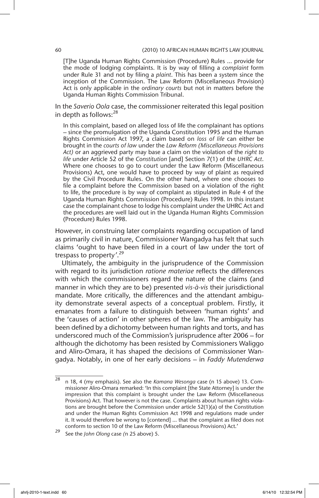[T]he Uganda Human Rights Commission (Procedure) Rules … provide for the mode of lodging complaints. It is by way of filling a *complaint* form under Rule 31 and not by filing a *plaint*. This has been a system since the inception of the Commission. The Law Reform (Miscellaneous Provision) Act is only applicable in the *ordinary courts* but not in matters before the Uganda Human Rights Commission Tribunal.

In the *Saverio Oola* case, the commissioner reiterated this legal position in depth as follows: $^{28}$ 

In this complaint, based on alleged loss of life the complainant has options – since the promulgation of the Uganda Constitution 1995 and the Human Rights Commission Act 1997, a claim based on *loss of life* can either be brought in the *courts of law* under the *Law Reform (Miscellaneous Provisions Act)* or an aggrieved party may base a claim on the violation of the *right to life* under Article 52 of the *Constitution* [and] Section 7(1) of the *UHRC Act*. Where one chooses to go to court under the Law Reform (Miscellaneous Provisions) Act, one would have to proceed by way of plaint as required by the Civil Procedure Rules. On the other hand, where one chooses to file a complaint before the Commission based on a violation of the right to life, the procedure is by way of complaint as stipulated in Rule 4 of the Uganda Human Rights Commission (Procedure) Rules 1998. In this instant case the complainant chose to lodge his complaint under the UHRC Act and the procedures are well laid out in the Uganda Human Rights Commission (Procedure) Rules 1998.

However, in construing later complaints regarding occupation of land as primarily civil in nature, Commissioner Wangadya has felt that such claims 'ought to have been filed in a court of law under the tort of trespass to property*'*. 29

Ultimately, the ambiguity in the jurisprudence of the Commission with regard to its jurisdiction *ratione materiae* reflects the differences with which the commissioners regard the nature of the claims (and manner in which they are to be) presented *vis-à-vis* their jurisdictional mandate. More critically, the differences and the attendant ambiguity demonstrate several aspects of a conceptual problem. Firstly, it emanates from a failure to distinguish between 'human rights' and the 'causes of action' in other spheres of the law. The ambiguity has been defined by a dichotomy between human rights and torts, and has underscored much of the Commission's jurisprudence after 2006 – for although the dichotomy has been resisted by Commissioners Waliggo and Aliro-Omara, it has shaped the decisions of Commissioner Wangadya. Notably, in one of her early decisions – in *Faddy Mutenderwa* 

<sup>28</sup> n 18, 4 (my emphasis). See also the *Kamana Wesonga* case (n 15 above) 13. Commissioner Aliro-Omara remarked: 'In this complaint [the State Attorney] is under the impression that this complaint is brought under the Law Reform (Miscellaneous Provisions) Act. That however is not the case. Complaints about human rights violations are brought before the Commission under article 52(1)(a) of the Constitution and under the Human Rights Commission Act 1998 and regulations made under it. It would therefore be wrong to [contend] … that the complaint as filed does not conform to section 10 of the Law Reform (Miscellaneous Provisions) Act.'

<sup>29</sup> See the *John Olong* case *(*n 25 above) 5.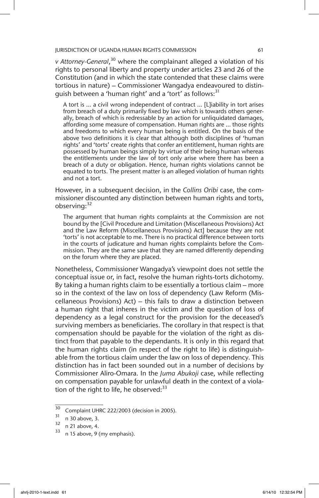*v Attorney-General*, 30 where the complainant alleged a violation of his rights to personal liberty and property under articles 23 and 26 of the Constitution (and in which the state contended that these claims were tortious in nature) – Commissioner Wangadya endeavoured to distinguish between a 'human right' and a 'tort' as follows:<sup>31</sup>

A tort is … a civil wrong independent of contract … [L]iability in tort arises from breach of a duty primarily fixed by law which is towards others generally, breach of which is redressable by an action for unliquidated damages, affording some measure of compensation. Human rights are … those rights and freedoms to which every human being is entitled. On the basis of the above two definitions it is clear that although both disciplines of 'human rights' and 'torts' create rights that confer an entitlement, human rights are possessed by human beings simply by virtue of their being human whereas the entitlements under the law of tort only arise where there has been a breach of a duty or obligation. Hence, human rights violations cannot be equated to torts. The present matter is an alleged violation of human rights and not a tort.

However, in a subsequent decision, in the *Collins Oribi* case, the commissioner discounted any distinction between human rights and torts, observing: 32

The argument that human rights complaints at the Commission are not bound by the [Civil Procedure and Limitation (Miscellaneous Provisions) Act and the Law Reform (Miscellaneous Provisions) Act] because they are not 'torts' is not acceptable to me. There is no practical difference between torts in the courts of judicature and human rights complaints before the Commission. They are the same save that they are named differently depending on the forum where they are placed.

Nonetheless, Commissioner Wangadya's viewpoint does not settle the conceptual issue or, in fact, resolve the human rights-torts dichotomy. By taking a human rights claim to be essentially a tortious claim – more so in the context of the law on loss of dependency (Law Reform (Miscellaneous Provisions) Act) – this fails to draw a distinction between a human right that inheres in the victim and the question of loss of dependency as a legal construct for the provision for the deceased's surviving members as beneficiaries. The corollary in that respect is that compensation should be payable for the violation of the right as distinct from that payable to the dependants. It is only in this regard that the human rights claim (in respect of the right to life) is distinguishable from the tortious claim under the law on loss of dependency. This distinction has in fact been sounded out in a number of decisions by Commissioner Aliro-Omara. In the *Juma Abukoji* case, while reflecting on compensation payable for unlawful death in the context of a violation of the right to life, he observed: $33$ 

 $\frac{30}{31}$  Complaint UHRC 222/2003 (decision in 2005).

 $\frac{31}{32}$  n 30 above, 3.<br> $\frac{32}{2}$  n 21 above, 4.

 $\frac{32}{33}$  n 21 above, 4.

n 15 above, 9 (my emphasis).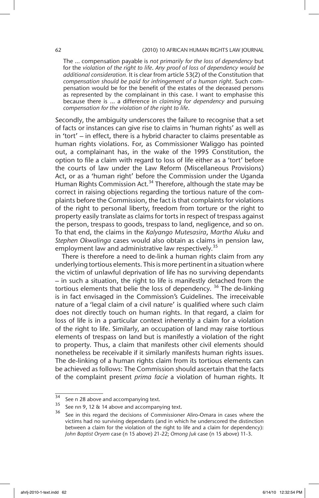#### 62 (2010) 10 AFRICAN HUMAN RIGHTS LAW JOURNAL

The … compensation payable is *not primarily for the loss of dependency* but for the *violation of the right to life*. *Any proof of loss of dependency would be additional consideration.* It is clear from article 53(2) of the Constitution that *compensation should be paid for infringement of a human right*. Such compensation would be for the benefit of the estates of the deceased persons as represented by the complainant in this case. I want to emphasise this because there is … a difference in *claiming for dependency* and pursuing *compensation for the violation of the right to life*.

Secondly, the ambiguity underscores the failure to recognise that a set of facts or instances can give rise to claims in 'human rights' as well as in 'tort' – in effect, there is a hybrid character to claims presentable as human rights violations. For, as Commissioner Waliggo has pointed out, a complainant has, in the wake of the 1995 Constitution, the option to file a claim with regard to loss of life either as a 'tort' before the courts of law under the Law Reform (Miscellaneous Provisions) Act, or as a 'human right' before the Commission under the Uganda Human Rights Commission Act.<sup>34</sup> Therefore, although the state may be correct in raising objections regarding the tortious nature of the complaints before the Commission, the fact is that complaints for violations of the right to personal liberty, freedom from torture or the right to property easily translate as claims for torts in respect of trespass against the person, trespass to goods, trespass to land, negligence, and so on. To that end, the claims in the *Kalyango Mutesasira*, *Martha Aluku* and *Stephen Okwalinga* cases would also obtain as claims in pension law, employment law and administrative law respectively.<sup>35</sup>

There is therefore a need to de-link a human rights claim from any underlying tortious elements. This is more pertinent in a situation where the victim of unlawful deprivation of life has no surviving dependants – in such a situation, the right to life is manifestly detached from the tortious elements that belie the loss of dependency.<sup>36</sup> The de-linking is in fact envisaged in the Commission's Guidelines. The irreceivable nature of a 'legal claim of a civil nature' is qualified where such claim does not directly touch on human rights. In that regard, a claim for loss of life is in a particular context inherently a claim for a violation of the right to life. Similarly, an occupation of land may raise tortious elements of trespass on land but is manifestly a violation of the right to property. Thus, a claim that manifests other civil elements should nonetheless be receivable if it similarly manifests human rights issues. The de-linking of a human rights claim from its tortious elements can be achieved as follows: The Commission should ascertain that the facts of the complaint present *prima facie* a violation of human rights. It

 $\frac{34}{35}$  See n 28 above and accompanying text.

See nn 9, 12 & 14 above and accompanying text.

See in this regard the decisions of Commissioner Aliro-Omara in cases where the victims had no surviving dependants (and in which he underscored the distinction between a claim for the violation of the right to life and a claim for dependency): *John Baptist Oryem* case (n 15 above) 21-22; *Omong Juk* case (n 15 above) 11-3.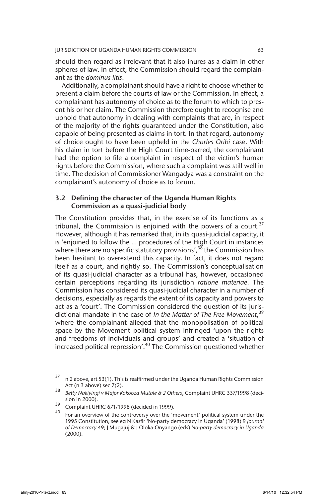should then regard as irrelevant that it also inures as a claim in other spheres of law. In effect, the Commission should regard the complainant as the *dominus litis*.

Additionally, a complainant should have a right to choose whether to present a claim before the courts of law or the Commission. In effect, a complainant has autonomy of choice as to the forum to which to present his or her claim. The Commission therefore ought to recognise and uphold that autonomy in dealing with complaints that are, in respect of the majority of the rights guaranteed under the Constitution, also capable of being presented as claims in tort. In that regard, autonomy of choice ought to have been upheld in the *Charles Oribi* case. With his claim in tort before the High Court time-barred, the complainant had the option to file a complaint in respect of the victim's human rights before the Commission, where such a complaint was still well in time. The decision of Commissioner Wangadya was a constraint on the complainant's autonomy of choice as to forum.

### 3.2 Defining the character of the Uganda Human Rights Commission as a quasi-judicial body

The Constitution provides that, in the exercise of its functions as a tribunal, the Commission is enjoined with the powers of a court. $37$ However, although it has remarked that, in its quasi-judicial capacity, it is 'enjoined to follow the … procedures of the High Court in instances where there are no specific statutory provisions',  $3^8$  the Commission has been hesitant to overextend this capacity. In fact, it does not regard itself as a court, and rightly so. The Commission's conceptualisation of its quasi-judicial character as a tribunal has, however, occasioned certain perceptions regarding its jurisdiction *ratione materiae*. The Commission has considered its quasi-judicial character in a number of decisions, especially as regards the extent of its capacity and powers to act as a 'court'. The Commission considered the question of its jurisdictional mandate in the case of *In the Matter of The Free Movement*, 39 where the complainant alleged that the monopolisation of political space by the Movement political system infringed 'upon the rights and freedoms of individuals and groups' and created a 'situation of increased political repression'.<sup>40</sup> The Commission questioned whether

 $37$  n 2 above, art 53(1). This is reaffirmed under the Uganda Human Rights Commission Act (n 3 above) sec 7(2).

<sup>38</sup> *Betty Nakiyingi v Major Kakooza Mutale & 2 Others*, Complaint UHRC 337/1998 (decision in 2000).

 $\frac{39}{2}$  Complaint UHRC 671/1998 (decided in 1999).

<sup>40</sup> For an overview of the controversy over the 'movement' political system under the 1995 Constitution, see eg N Kasfir 'No-party democracy in Uganda' (1998) 9 *Journal of Democracy* 49; J Mugajuj & J Oloka-Onyango (eds) *No-party democracy in Uganda* (2000).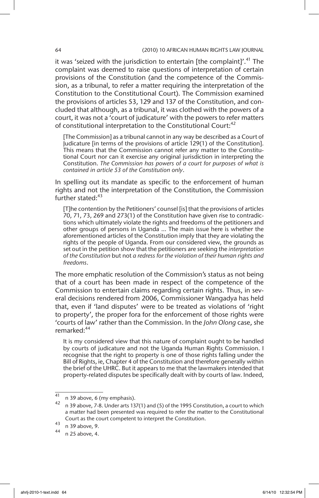it was 'seized with the jurisdiction to entertain [the complaint]'.<sup>41</sup> The complaint was deemed to raise questions of interpretation of certain provisions of the Constitution (and the competence of the Commission, as a tribunal, to refer a matter requiring the interpretation of the Constitution to the Constitutional Court). The Commission examined the provisions of articles 53, 129 and 137 of the Constitution, and concluded that although, as a tribunal, it was clothed with the powers of a court, it was not a 'court of judicature' with the powers to refer matters of constitutional interpretation to the Constitutional Court:<sup>42</sup>

[The Commission] as a tribunal cannot in any way be described as a Court of Judicature [in terms of the provisions of article 129(1) of the Constitution]. This means that the Commission cannot refer any matter to the Constitutional Court nor can it exercise any original jurisdiction in interpreting the Constitution. *The Commission has powers of a court for purposes of what is contained in article 53 of the Constitution only*.

In spelling out its mandate as specific to the enforcement of human rights and not the interpretation of the Constitution, the Commission further stated: $43$ 

[T]he contention by the Petitioners' counsel [is] that the provisions of articles 70, 71, 73, 269 and 273(1) of the Constitution have given rise to contradictions which ultimately violate the rights and freedoms of the petitioners and other groups of persons in Uganda … The main issue here is whether the aforementioned articles of the Constitution imply that they are violating the rights of the people of Uganda. From our considered view, the grounds as set out in the petition show that the petitioners are seeking the *interpretation of the Constitution* but not *a redress for the violation of their human rights and freedoms*.

The more emphatic resolution of the Commission's status as not being that of a court has been made in respect of the competence of the Commission to entertain claims regarding certain rights. Thus, in several decisions rendered from 2006, Commissioner Wangadya has held that, even if 'land disputes' were to be treated as violations of 'right to property', the proper fora for the enforcement of those rights were 'courts of law' rather than the Commission. In the *John Olong* case, she remarked:<sup>44</sup>

It is my considered view that this nature of complaint ought to be handled by courts of judicature and not the Uganda Human Rights Commission. I recognise that the right to property is one of those rights falling under the Bill of Rights, ie, Chapter 4 of the Constitution and therefore generally within the brief of the UHRC. But it appears to me that the lawmakers intended that property-related disputes be specifically dealt with by courts of law. Indeed,

 $\frac{41}{41}$  n 39 above, 6 (my emphasis).

n 39 above, 7-8. Under arts 137(1) and (5) of the 1995 Constitution, a court to which a matter had been presented was required to refer the matter to the Constitutional Court as the court competent to interpret the Constitution.

 $^{43}$  n 39 above, 9.

<sup>44</sup> n 25 above, 4.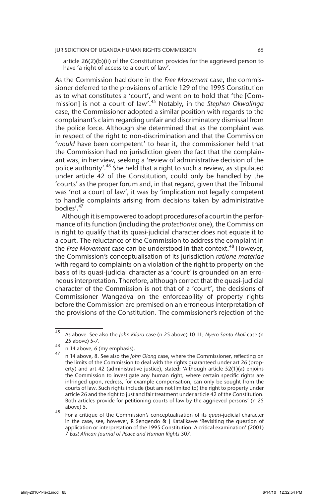article 26(2)(b)(ii) of the Constitution provides for the aggrieved person to have 'a right of access to a court of law'.

As the Commission had done in the *Free Movement* case, the commissioner deferred to the provisions of article 129 of the 1995 Constitution as to what constitutes a 'court', and went on to hold that 'the [Commission] is not a court of law'.45 Notably, in the *Stephen Okwalinga*  case, the Commissioner adopted a similar position with regards to the complainant's claim regarding unfair and discriminatory dismissal from the police force. Although she determined that as the complaint was in respect of the right to non-discrimination and that the Commission '*would* have been competent' to hear it, the commissioner held that the Commission had no jurisdiction given the fact that the complainant was, in her view, seeking a 'review of administrative decision of the police authority'.<sup>46</sup> She held that a right to such a review, as stipulated under article 42 of the Constitution, could only be handled by the 'courts' as the proper forum and, in that regard, given that the Tribunal was 'not a court of law', it was by 'implication not legally competent to handle complaints arising from decisions taken by administrative bodies'.<sup>47</sup>

Although it is empowered to adopt procedures of a court in the performance of its function (including the *protectionist* one), the Commission is right to qualify that its quasi-judicial character does not equate it to a court. The reluctance of the Commission to address the complaint in the *Free Movement* case can be understood in that context.48 However, the Commission's conceptualisation of its jurisdiction *ratione materiae* with regard to complaints on a violation of the right to property on the basis of its quasi*-*judicial character as a 'court' is grounded on an erroneous interpretation. Therefore, although correct that the quasi*-*judicial character of the Commission is not that of a 'court', the decisions of Commissioner Wangadya on the enforceability of property rights before the Commission are premised on an erroneous interpretation of the provisions of the Constitution. The commissioner's rejection of the

<sup>45</sup> As above. See also the *John Kilara* case (n 25 above) 10-11; *Nyero Santo Akoli* case (n 25 above) 5-7.

 $46$  n 14 above, 6 (my emphasis).

<sup>47</sup> n 14 above, 8. See also the *John Olong* case, where the Commissioner, reflecting on the limits of the Commission to deal with the rights guaranteed under art 26 (property) and art 42 (administrative justice), stated: 'Although article 52(1)(a) enjoins the Commission to investigate any human right, where certain specific rights are infringed upon, redress, for example compensation, can only be sought from the courts of law. Such rights include (but are not limited to) the right to property under article 26 and the right to just and fair treatment under article 42 of the Constitution. Both articles provide for petitioning courts of law by the aggrieved persons' (n 25 above) 5.

<sup>48</sup> For a critique of the Commission's conceptualisation of its *quasi*-judicial character in the case, see, however, R Sengendo & J Katalikawe 'Revisiting the question of application or interpretation of the 1995 Constitution: A critical examination' (2001) 7 *East African Journal of Peace and Human Rights* 307.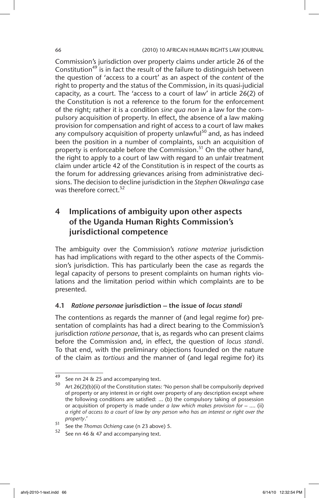#### 66 (2010) 10 AFRICAN HUMAN RIGHTS LAW JOURNAL

Commission's jurisdiction over property claims under article 26 of the Constitution<sup>49</sup> is in fact the result of the failure to distinguish between the question of 'access to a court' as an aspect of the *content* of the right to property and the status of the Commission, in its quasi-judicial capacity, as a court. The 'access to a court of law' in article 26(2) of the Constitution is not a reference to the forum for the enforcement of the right; rather it is a condition *sine qua non* in a law for the compulsory acquisition of property. In effect, the absence of a law making provision for compensation and right of access to a court of law makes any compulsory acquisition of property unlawful<sup>50</sup> and, as has indeed been the position in a number of complaints, such an acquisition of property is enforceable before the Commission.<sup>51</sup> On the other hand, the right to apply to a court of law with regard to an unfair treatment claim under article 42 of the Constitution is in respect of the courts as the forum for addressing grievances arising from administrative decisions. The decision to decline jurisdiction in the *Stephen Okwalinga* case was therefore correct.<sup>52</sup>

# 4 Implications of ambiguity upon other aspects of the Uganda Human Rights Commission's jurisdictional competence

The ambiguity over the Commission's *ratione materiae* jurisdiction has had implications with regard to the other aspects of the Commission's jurisdiction. This has particularly been the case as regards the legal capacity of persons to present complaints on human rights violations and the limitation period within which complaints are to be presented.

### 4.1 *Ratione personae* jurisdiction – the issue of *locus standi*

The contentions as regards the manner of (and legal regime for) presentation of complaints has had a direct bearing to the Commission's jurisdiction *ratione personae*, that is, as regards who can present claims before the Commission and, in effect, the question of *locus standi*. To that end, with the preliminary objections founded on the nature of the claim as *tortious* and the manner of (and legal regime for) its

<sup>49</sup> See nn 24 & 25 and accompanying text.

<sup>50</sup> Art 26(2)(b)(ii) of the Constitution states: 'No person shall be compulsorily deprived of property or any interest in or right over property of any description except where the following conditions are satisfied: … (b) the compulsory taking of possession or acquisition of property is made under *a law which makes provision for* – …. (ii) *a right of access to a court of law by any person who has an interest or right over the property*.'

<sup>51</sup> See the *Thomas Ochieng* case (n 23 above) 5.

See nn 46 & 47 and accompanying text.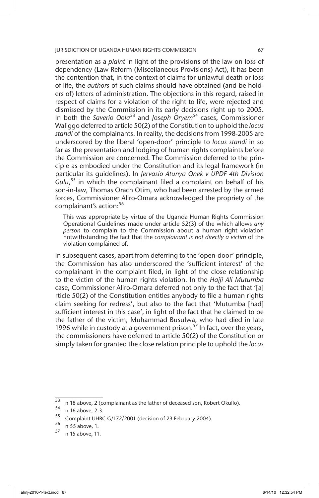presentation as a *plaint* in light of the provisions of the law on loss of dependency (Law Reform (Miscellaneous Provisions) Act), it has been the contention that, in the context of claims for unlawful death or loss of life, the *authors* of such claims should have obtained (and be holders of) letters of administration. The objections in this regard, raised in respect of claims for a violation of the right to life, were rejected and dismissed by the Commission in its early decisions right up to 2005. In both the *Saverio Oola*53 and *Joseph Oryem*54 cases, Commissioner Waliggo deferred to article 50(2) of the Constitution to uphold the *locus standi* of the complainants. In reality, the decisions from 1998-2005 are underscored by the liberal 'open-door' principle to *locus standi* in so far as the presentation and lodging of human rights complaints before the Commission are concerned. The Commission deferred to the principle as embodied under the Constitution and its legal framework (in particular its guidelines). In *Jervasio Atunya Onek v UPDF 4th Division*  Gulu,<sup>55</sup> in which the complainant filed a complaint on behalf of his son-in-law, Thomas Orach Otim, who had been arrested by the armed forces, Commissioner Aliro-Omara acknowledged the propriety of the complainant's action:<sup>56</sup>

This was appropriate by virtue of the Uganda Human Rights Commission Operational Guidelines made under article 52(3) of the which allows *any person* to complain to the Commission about a human right violation notwithstanding the fact that the *complainant is not directly a victim* of the violation complained of.

In subsequent cases, apart from deferring to the 'open-door' principle, the Commission has also underscored the 'sufficient interest' of the complainant in the complaint filed, in light of the close relationship to the victim of the human rights violation. In the *Hajji Ali Mutumba*  case, Commissioner Aliro-Omara deferred not only to the fact that '[a] rticle 50(2) of the Constitution entitles anybody to file a human rights claim seeking for redress', but also to the fact that 'Mutumba [had] sufficient interest in this case', in light of the fact that he claimed to be the father of the victim, Muhammad Busulwa, who had died in late 1996 while in custody at a government prison.<sup>57</sup> In fact, over the years, the commissioners have deferred to article 50(2) of the Constitution or simply taken for granted the close relation principle to uphold the *locus* 

 $\frac{53}{53}$  n 18 above, 2 (complainant as the father of deceased son, Robert Okullo).

 $54$  n 16 above, 2-3.

 $^{55}$  Complaint UHRC G/172/2001 (decision of 23 February 2004).

 $\frac{56}{57}$  n 55 above, 1.

n 15 above, 11.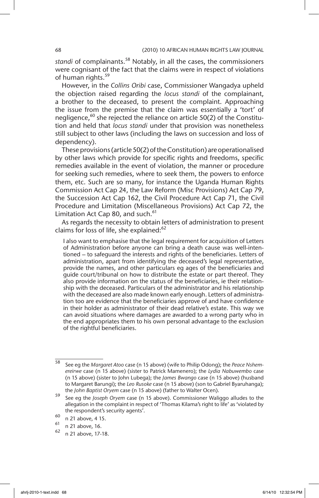standi of complainants.<sup>58</sup> Notably, in all the cases, the commissioners were cognisant of the fact that the claims were in respect of violations of human rights.<sup>59</sup>

However, in the *Collins Oribi* case, Commissioner Wangadya upheld the objection raised regarding the *locus standi* of the complainant, a brother to the deceased, to present the complaint. Approaching the issue from the premise that the claim was essentially a 'tort' of negligence, $60$  she rejected the reliance on article  $50(2)$  of the Constitution and held that *locus standi* under that provision was nonetheless still subject to other laws (including the laws on succession and loss of dependency).

These provisions (article 50(2) of the Constitution) are operationalised by other laws which provide for specific rights and freedoms, specific remedies available in the event of violation, the manner or procedure for seeking such remedies, where to seek them, the powers to enforce them, etc. Such are so many, for instance the Uganda Human Rights Commission Act Cap 24, the Law Reform (Misc Provisions) Act Cap 79, the Succession Act Cap 162, the Civil Procedure Act Cap 71, the Civil Procedure and Limitation (Miscellaneous Provisions) Act Cap 72, the Limitation Act Cap 80, and such.<sup>61</sup>

As regards the necessity to obtain letters of administration to present claims for loss of life, she explained:<sup>62</sup>

I also want to emphasise that the legal requirement for acquisition of Letters of Administration before anyone can bring a death cause was well-intentioned – to safeguard the interests and rights of the beneficiaries. Letters of administration, apart from identifying the deceased's legal representative, provide the names, and other particulars eg ages of the beneficiaries and guide court/tribunal on how to distribute the estate or part thereof. They also provide information on the status of the beneficiaries, ie their relationship with the deceased. Particulars of the administrator and his relationship with the deceased are also made known early enough. Letters of administration too are evidence that the beneficiaries approve of and have confidence in their holder as administrator of their dead relative's estate. This way we can avoid situations where damages are awarded to a wrong party who in the end appropriates them to his own personal advantage to the exclusion of the rightful beneficiaries.

<sup>58</sup> See eg the *Margaret Atoo* case (n 15 above) (wife to Philip Odong); the *Peace Nshemereirwe* case (n 15 above) (sister to Patrick Mamenero); the *Lydia Nabuwembo* case (n 15 above) (sister to John Lubega); the *James Bwango* case (n 15 above) (husband to Margaret Barungi); the *Leo Rusoke* case (n 15 above) (son to Gabriel Byaruhanga); the *John Baptist Oryem* case (n 15 above) (father to Walter Ocen).

<sup>59</sup> See eg the *Joseph Oryem* case (n 15 above). Commissioner Waliggo alludes to the allegation in the complaint in respect of 'Thomas Kilama's right to life' as 'violated by the respondent's security agents'.

 $\frac{60}{61}$  n 21 above, 4 15.

<sup>61</sup> n 21 above, 16.

n 21 above, 17-18.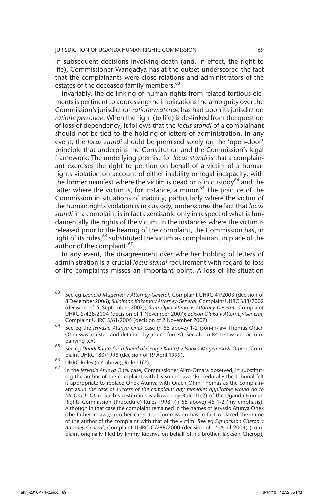In subsequent decisions involving death (and, in effect, the right to life), Commissioner Wangadya has at the outset underscored the fact that the complainants were close relations and administrators of the estates of the deceased family members.<sup>63</sup>

Invariably, the de-linking of human rights from related tortious elements is pertinent to addressing the implications the ambiguity over the Commission's jurisdiction *ratione materiae* has had upon its jurisdiction *ratione personae*. When the right (to life) is de-linked from the question of loss of dependency, it follows that the *locus standi* of a complainant should not be tied to the holding of letters of administration. In any event, the *locus standi* should be premised solely on the 'open-door' principle that underpins the Constitution and the Commission's legal framework. The underlying premise for *locus standi* is that a complainant exercises the right to petition on behalf of a victim of a human rights violation on account of either inability or legal incapacity, with the former manifest where the victim is dead or is in custody<sup>64</sup> and the latter where the victim is, for instance, a minor.<sup>65</sup> The practice of the Commission in situations of inability, particularly where the victim of the human rights violation is in custody, underscores the fact that *locus standi* in a complaint is in fact exercisable only in respect of what is fundamentally the rights of the victim. In the instances where the victim is released prior to the hearing of the complaint, the Commission has, in light of its rules,<sup>66</sup> substituted the victim as complainant in place of the author of the complaint.<sup>67</sup>

In any event, the disagreement over whether holding of letters of administration is a crucial *locus standi* requirement with regard to loss of life complaints misses an important point. A loss of life situation

<sup>63</sup> See eg *Leonard Mugerwa v Attorney-General*, Complaint UHRC 41/2003 (decision of 8 December 2006); *Sulaiman Kakomo v Attorney-General*, Complaint UHRC 388/2002 (decision of 5 September 2007); *Sam Opio Etimu v Attorney-General*, Complaint UHRC S/438/2004 (decision of 1 November 2007); *Edison Oluka v Attorney-General*, Complaint UHRC S/61/2005 (decision of 2 November 2007).

<sup>64</sup> See eg the *Jervasio Atunya Onek* case (n 55 above) 1-2 (son-in-law Thomas Orach Otim was arrested and detained by armed forces). See also n 84 below and accompanying text.

<sup>65</sup> See eg *Daudi Kauta (as a friend of George Kauta) v Ishaka Magemeso & Others*, Complaint UHRC 180/1998 (decision of 19 April 1999).

 $^{66}$  UHRC Rules (n 4 above), Rule 11(2).

<sup>67</sup> In the *Jervasio Atunya Onek* case, Commissioner Aliro-Omara observed, in substituting the author of the complaint with his son-in-law: 'Procedurally the tribunal felt it appropriate to replace Onek Atunya with Orach Otim Thomas as the complainant as *in the case of success of the complaint any remedies applicable would go to Mr Orach Otim*. Such substitution is allowed by Rule 11(2) of the Uganda Human Rights Commission (Procedure) Rules 1998' (n 55 above) 46 1-2 (my emphasis). Although in that case the complaint remained in the names of Jervasio Atunya Onek (the father-in-law), in other cases the Commission has in fact replaced the name of the author of the complaint with that of the victim. See eg *Sgt Jackson Cherop v Attorney-General*, Complaint UHRC G/288/2000 (decision of 14 April 2004) (complaint originally filed by Jimmy Kipsiwa on behalf of his brother, Jackson Cherop);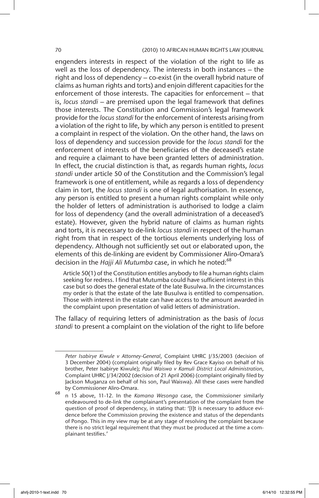engenders interests in respect of the violation of the right to life as well as the loss of dependency. The interests in both instances – the right and loss of dependency – co-exist (in the overall hybrid nature of claims as human rights and torts) and enjoin different capacities for the enforcement of those interests. The capacities for enforcement – that is, *locus standi* – are premised upon the legal framework that defines those interests. The Constitution and Commission's legal framework provide for the *locus standi* for the enforcement of interests arising from a violation of the right to life, by which any person is entitled to present a complaint in respect of the violation. On the other hand, the laws on loss of dependency and succession provide for the *locus standi* for the enforcement of interests of the beneficiaries of the deceased's estate and require a claimant to have been granted letters of administration. In effect, the crucial distinction is that, as regards human rights, *locus standi* under article 50 of the Constitution and the Commission's legal framework is one of entitlement, while as regards a loss of dependency claim in tort, the *locus standi* is one of legal authorisation. In essence, any person is entitled to present a human rights complaint while only the holder of letters of administration is authorised to lodge a claim for loss of dependency (and the overall administration of a deceased's estate). However, given the hybrid nature of claims as human rights and torts, it is necessary to de-link *locus standi* in respect of the human right from that in respect of the tortious elements underlying loss of dependency. Although not sufficiently set out or elaborated upon, the elements of this de-linking are evident by Commissioner Aliro-Omara's decision in the *Hajji Ali Mutumba* case, in which he noted:<sup>68</sup>

Article 50(1) of the Constitution entitles anybody to file a human rights claim seeking for redress. I find that Mutumba could have sufficient interest in this case but so does the general estate of the late Busulwa. In the circumstances my order is that the estate of the late Busulwa is entitled to compensation. Those with interest in the estate can have access to the amount awarded in the complaint upon presentation of valid letters of administration.

The fallacy of requiring letters of administration as the basis of *locus standi* to present a complaint on the violation of the right to life before

*Peter Isabirye Kiwule v Attorney-General*, Complaint UHRC J/35/2003 (decision of 3 December 2004) (complaint originally filed by Rev Grace Kayiso on behalf of his brother, Peter Isabirye Kiwule); *Paul Waiswa v Kamuli District Local Administration*, Complaint UHRC J/34/2002 (decision of 21 April 2006) (complaint originally filed by Jackson Muganza on behalf of his son, Paul Waiswa). All these cases were handled by Commissioner Aliro-Omara.

<sup>68</sup> n 15 above, 11-12. In the *Kamana Wesonga* case, the Commissioner similarly endeavoured to de-link the complainant's presentation of the complaint from the question of proof of dependency, in stating that: '[I]t is necessary to adduce evidence before the Commission proving the existence and status of the dependants of Pongo. This in my view may be at any stage of resolving the complaint because there is no strict legal requirement that they must be produced at the time a complainant testifies.'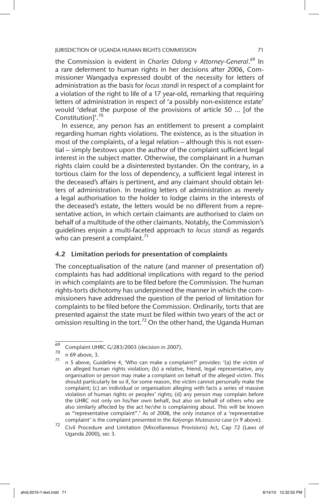the Commission is evident in *Charles Odong v Attorney-General*. 69 In a rare deferment to human rights in her decisions after 2006, Commissioner Wangadya expressed doubt of the necessity for letters of administration as the basis for *locus standi* in respect of a complaint for a violation of the right to life of a 17 year-old, remarking that requiring letters of administration in respect of 'a possibly non-existence estate' would 'defeat the purpose of the provisions of article 50 … [of the Constitution]'.<sup>70</sup>

In essence, any person has an entitlement to present a complaint regarding human rights violations. The existence, as is the situation in most of the complaints, of a legal relation – although this is not essential – simply bestows upon the author of the complaint sufficient legal interest in the subject matter. Otherwise, the complainant in a human rights claim could be a disinterested bystander. On the contrary, in a tortious claim for the loss of dependency, a sufficient legal interest in the deceased's affairs is pertinent, and any claimant should obtain letters of administration. In treating letters of administration as merely a legal authorisation to the holder to lodge claims in the interests of the deceased's estate, the letters would be no different from a representative action, in which certain claimants are authorised to claim on behalf of a multitude of the other claimants. Notably, the Commission's guidelines enjoin a multi-faceted approach to *locus standi* as regards who can present a complaint.<sup>71</sup>

### 4.2 Limitation periods for presentation of complaints

The conceptualisation of the nature (and manner of presentation of) complaints has had additional implications with regard to the period in which complaints are to be filed before the Commission. The human rights-torts dichotomy has underpinned the manner in which the commissioners have addressed the question of the period of limitation for complaints to be filed before the Commission. Ordinarily, torts that are presented against the state must be filed within two years of the act or omission resulting in the tort.<sup>72</sup> On the other hand, the Uganda Human

 $\frac{69}{69}$  Complaint UHRC G/283/2003 (decision in 2007).

 $\frac{70}{71}$  n 69 above, 3.

<sup>71</sup> n 5 above, Guideline 4, 'Who can make a complaint?' provides: '(a) the victim of an alleged human rights violation; (b) a relative, friend, legal representative, any organisation or person may make a complaint on behalf of the alleged victim. This should particularly be so if, for some reason, the victim cannot personally make the complaint; (c) an individual or organisation alleging with facts a series of massive violation of human rights or peoples' rights; (d) any person may complain before the UHRC not only on his/her own behalf, but also on behalf of others who are also similarly affected by the act he/she is complaining about. This will be known as "representative complaint".' As of 2008, the only instance of a 'representative complaint' is the complaint presented in the *Kalyango Mutesasira* case (n 9 above).

<sup>72</sup> Civil Procedure and Limitation (Miscellaneous Provisions) Act, Cap 72 (Laws of Uganda 2000), sec 3.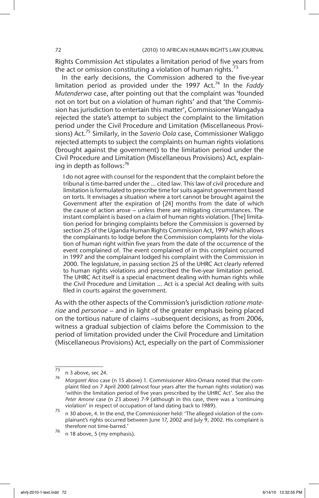Rights Commission Act stipulates a limitation period of five years from the act or omission constituting a violation of human rights. $73$ 

In the early decisions, the Commission adhered to the five-year limitation period as provided under the 1997 Act.<sup>74</sup> In the *Faddy Mutenderwa* case, after pointing out that the complaint was 'founded not on tort but on a violation of human rights' and that 'the Commission has jurisdiction to entertain this matter', Commissioner Wangadya rejected the state's attempt to subject the complaint to the limitation period under the Civil Procedure and Limitation (Miscellaneous Provisions) Act.75 Similarly, in the *Saverio Oola* case, Commissioner Waliggo rejected attempts to subject the complaints on human rights violations (brought against the government) to the limitation period under the Civil Procedure and Limitation (Miscellaneous Provisions) Act, explaining in depth as follows: $76$ 

I do not agree with counsel for the respondent that the complaint before the tribunal is time-barred under the … cited law. This law of civil procedure and limitation is formulated to prescribe time for suits against government based on torts*.* It envisages a situation where a tort cannot be brought against the Government after the expiration of [24] months from the date of which the cause of action arose – unless there are mitigating circumstances. The instant complaint is based on a claim of human rights violation*.* [The] limitation period for bringing complaints before the Commission is governed by section 25 of the Uganda Human Rights Commission Act, 1997 which allows the complainants to lodge before the Commission complaints for the violation of human right within five years from the date of the occurrence of the event complained of. The event complained of in this complaint occurred in 1997 and the complainant lodged his complaint with the Commission in 2000. The legislature, in passing section 25 of the UHRC Act clearly referred to human rights violations and prescribed the five-year limitation period. The UHRC Act itself is a special enactment dealing with human rights while the Civil Procedure and Limitation … Act is a special Act dealing with suits filed in courts against the government.

As with the other aspects of the Commission's jurisdiction *ratione materiae* and *personae* – and in light of the greater emphasis being placed on the tortious nature of claims –subsequent decisions, as from 2006, witness a gradual subjection of claims before the Commission to the period of limitation provided under the Civil Procedure and Limitation (Miscellaneous Provisions) Act, especially on the part of Commissioner

 $^{73}$  n 3 above, sec 24.

<sup>74</sup> *Margaret Atoo* case (n 15 above) 1. Commissioner Aliro-Omara noted that the complaint filed on 7 April 2000 (almost four years after the human rights violation) was 'within the limitation period of five years prescribed by the UHRC Act'. See also the *Peter Amone* case (n 23 above) 7-9 (although in this case, there was a 'continuing violation' in respect of occupation of land dating back to 1989).

 $^{75}$  n 30 above, 4. In the end, the Commissioner held: 'The alleged violation of the complainant's rights occurred between June 17, 2002 and July 9, 2002. His complaint is therefore not time-barred.'

 $^{76}$  n 18 above, 5 (my emphasis).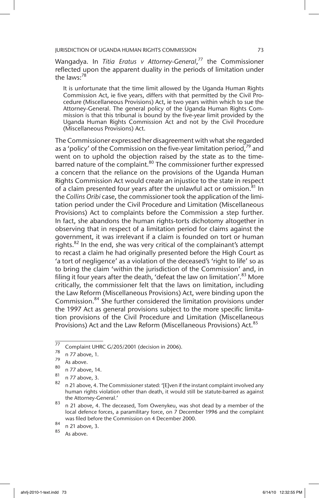Wangadya. In *Titia Eratus v Attorney-General*, 77 the Commissioner reflected upon the apparent duality in the periods of limitation under the laws: $78$ 

It is unfortunate that the time limit allowed by the Uganda Human Rights Commission Act, ie five years, differs with that permitted by the Civil Procedure (Miscellaneous Provisions) Act, ie two years within which to sue the Attorney-General. The general policy of the Uganda Human Rights Commission is that this tribunal is bound by the five-year limit provided by the Uganda Human Rights Commission Act and not by the Civil Procedure (Miscellaneous Provisions) Act.

The Commissioner expressed her disagreement with what she regarded as a 'policy' of the Commission on the five-year limitation period,<sup>79</sup> and went on to uphold the objection raised by the state as to the timebarred nature of the complaint.<sup>80</sup> The commissioner further expressed a concern that the reliance on the provisions of the Uganda Human Rights Commission Act would create an injustice to the state in respect of a claim presented four years after the unlawful act or omission. $81$  In the *Collins Oribi* case, the commissioner took the application of the limitation period under the Civil Procedure and Limitation (Miscellaneous Provisions) Act to complaints before the Commission a step further. In fact, she abandons the human rights-torts dichotomy altogether in observing that in respect of a limitation period for claims against the government, it was irrelevant if a claim is founded on tort or human rights. $82$  In the end, she was very critical of the complainant's attempt to recast a claim he had originally presented before the High Court as 'a tort of negligence' as a violation of the deceased's 'right to life' so as to bring the claim 'within the jurisdiction of the Commission' and, in filing it four years after the death, 'defeat the law on limitation'.<sup>83</sup> More critically, the commissioner felt that the laws on limitation, including the Law Reform (Miscellaneous Provisions) Act, were binding upon the Commission.84 She further considered the limitation provisions under the 1997 Act as general provisions subject to the more specific limitation provisions of the Civil Procedure and Limitation (Miscellaneous Provisions) Act and the Law Reform (Miscellaneous Provisions) Act.<sup>85</sup>

 $\frac{77}{77}$  Complaint UHRC G/205/2001 (decision in 2006).

 $\frac{78}{79}$  n 77 above, 1.

 $\frac{79}{80}$  As above.

 $\frac{80}{81}$  n 77 above, 14.

 $\frac{81}{82}$  n 77 above, 3.

<sup>82</sup> n 21 above, 4. The Commissioner stated: '[E]ven if the instant complaint involved any human rights violation other than death, it would still be statute-barred as against the Attorney-General.'

<sup>83</sup> n 21 above, 4. The deceased, Tom Owenykeu, was shot dead by a member of the local defence forces, a paramilitary force, on 7 December 1996 and the complaint was filed before the Commission on 4 December 2000.

 $\begin{matrix} 84 \\ 85 \end{matrix}$  n 21 above, 3.

As above.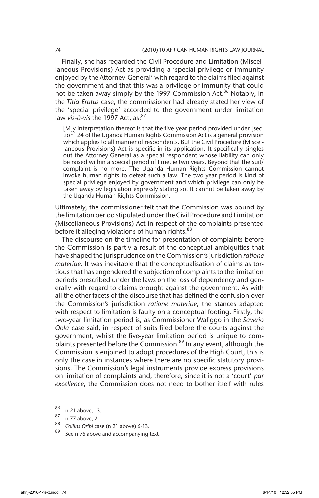Finally, she has regarded the Civil Procedure and Limitation (Miscellaneous Provisions) Act as providing a 'special privilege or immunity enjoyed by the Attorney-General' with regard to the claims filed against the government and that this was a privilege or immunity that could not be taken away simply by the 1997 Commission Act.<sup>86</sup> Notably, in the *Titia Eratus* case, the commissioner had already stated her view of the 'special privilege' accorded to the government under limitation law *vis-à-vis* the 1997 Act, as:<sup>87</sup>

[M]y interpretation thereof is that the five-year period provided under [section] 24 of the Uganda Human Rights Commission Act is a general provision which applies to all manner of respondents. But the Civil Procedure (Miscellaneous Provisions) Act is specific in its application. It specifically singles out the Attorney-General as a special respondent whose liability can only be raised within a special period of time, ie two years. Beyond that the suit/ complaint is no more. The Uganda Human Rights Commission cannot invoke human rights to defeat such a law. The two-year period is kind of special privilege enjoyed by government and which privilege can only be taken away by legislation expressly stating so. It cannot be taken away by the Uganda Human Rights Commission.

Ultimately, the commissioner felt that the Commission was bound by the limitation period stipulated under the Civil Procedure and Limitation (Miscellaneous Provisions) Act in respect of the complaints presented before it alleging violations of human rights.<sup>88</sup>

The discourse on the timeline for presentation of complaints before the Commission is partly a result of the conceptual ambiguities that have shaped the jurisprudence on the Commission's jurisdiction *ratione materiae*. It was inevitable that the conceptualisation of claims as tortious that has engendered the subjection of complaints to the limitation periods prescribed under the laws on the loss of dependency and generally with regard to claims brought against the government. As with all the other facets of the discourse that has defined the confusion over the Commission's jurisdiction *ratione materiae*, the stances adapted with respect to limitation is faulty on a conceptual footing. Firstly, the two-year limitation period is, as Commissioner Waliggo in the *Saverio Oola* case said, in respect of suits filed before the courts against the government, whilst the five-year limitation period is unique to complaints presented before the Commission.<sup>89</sup> In any event, although the Commission is enjoined to adopt procedures of the High Court, this is only the case in instances where there are no specific statutory provisions. The Commission's legal instruments provide express provisions on limitation of complaints and, therefore, since it is not a 'court' *par excellence*, the Commission does not need to bother itself with rules

 $\frac{86}{87}$  n 21 above, 13.

 $\frac{87}{88}$  n 77 above, 2.

<sup>&</sup>lt;sup>88</sup> Collins Oribi case (n 21 above) 6-13.

See n 76 above and accompanying text.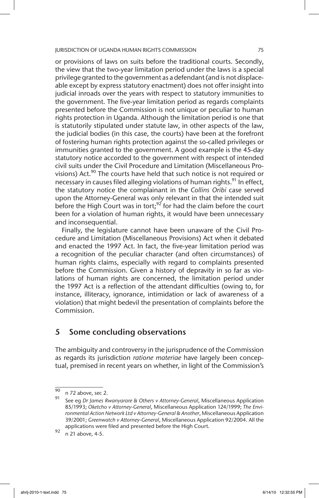or provisions of laws on suits before the traditional courts. Secondly, the view that the two-year limitation period under the laws is a special privilege granted to the government as a defendant (and is not displaceable except by express statutory enactment) does not offer insight into judicial inroads over the years with respect to statutory immunities to the government. The five-year limitation period as regards complaints presented before the Commission is not unique or peculiar to human rights protection in Uganda. Although the limitation period is one that is statutorily stipulated under statute law, in other aspects of the law, the judicial bodies (in this case, the courts) have been at the forefront of fostering human rights protection against the so-called privileges or immunities granted to the government. A good example is the 45-day statutory notice accorded to the government with respect of intended civil suits under the Civil Procedure and Limitation (Miscellaneous Provisions) Act.<sup>90</sup> The courts have held that such notice is not required or necessary in causes filed alleging violations of human rights.<sup>91</sup> In effect, the statutory notice the complainant in the *Collins Oribi* case served upon the Attorney-General was only relevant in that the intended suit before the High Court was in tort;<sup>92</sup> for had the claim before the court been for a violation of human rights, it would have been unnecessary and inconsequential.

Finally, the legislature cannot have been unaware of the Civil Procedure and Limitation (Miscellaneous Provisions) Act when it debated and enacted the 1997 Act. In fact, the five-year limitation period was a recognition of the peculiar character (and often circumstances) of human rights claims, especially with regard to complaints presented before the Commission. Given a history of depravity in so far as violations of human rights are concerned, the limitation period under the 1997 Act is a reflection of the attendant difficulties (owing to, for instance, illiteracy, ignorance, intimidation or lack of awareness of a violation) that might bedevil the presentation of complaints before the Commission.

# 5 Some concluding observations

The ambiguity and controversy in the jurisprudence of the Commission as regards its jurisdiction *ratione materiae* have largely been conceptual, premised in recent years on whether, in light of the Commission's

 $\overline{90}$  n 72 above, sec 2.

<sup>91</sup> See eg *Dr James Rwanyarare & Others v Attorney-General*, Miscellaneous Application 85/1993; *Oketcho v Attorney-General*, Miscellaneous Application 124/1999; *The Environmental Action Network Ltd v Attorney-General & Another*, Miscellaneous Application 39/2001; *Greenwatch v Attorney-General*, Miscellaneous Application 92/2004. All the applications were filed and presented before the High Court.

 $92 \n n 21 above, 4-5.$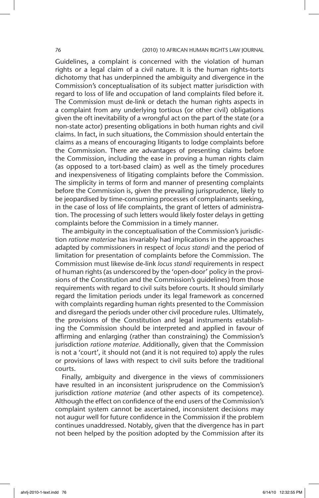Guidelines, a complaint is concerned with the violation of human rights or a legal claim of a civil nature. It is the human rights-torts dichotomy that has underpinned the ambiguity and divergence in the Commission's conceptualisation of its subject matter jurisdiction with regard to loss of life and occupation of land complaints filed before it. The Commission must de-link or detach the human rights aspects in a complaint from any underlying tortious (or other civil) obligations given the oft inevitability of a wrongful act on the part of the state (or a non-state actor) presenting obligations in both human rights and civil claims. In fact, in such situations, the Commission should entertain the claims as a means of encouraging litigants to lodge complaints before the Commission. There are advantages of presenting claims before the Commission, including the ease in proving a human rights claim (as opposed to a tort-based claim) as well as the timely procedures and inexpensiveness of litigating complaints before the Commission. The simplicity in terms of form and manner of presenting complaints before the Commission is, given the prevailing jurisprudence, likely to be jeopardised by time-consuming processes of complainants seeking, in the case of loss of life complaints, the grant of letters of administration. The processing of such letters would likely foster delays in getting complaints before the Commission in a timely manner.

The ambiguity in the conceptualisation of the Commission's jurisdiction *ratione materiae* has invariably had implications in the approaches adapted by commissioners in respect of *locus standi* and the period of limitation for presentation of complaints before the Commission. The Commission must likewise de-link *locus standi* requirements in respect of human rights (as underscored by the 'open-door' policy in the provisions of the Constitution and the Commission's guidelines) from those requirements with regard to civil suits before courts. It should similarly regard the limitation periods under its legal framework as concerned with complaints regarding human rights presented to the Commission and disregard the periods under other civil procedure rules. Ultimately, the provisions of the Constitution and legal instruments establishing the Commission should be interpreted and applied in favour of affirming and enlarging (rather than constraining) the Commission's jurisdiction *ratione materiae*. Additionally, given that the Commission is not a 'court', it should not (and it is not required to) apply the rules or provisions of laws with respect to civil suits before the traditional courts.

Finally, ambiguity and divergence in the views of commissioners have resulted in an inconsistent jurisprudence on the Commission's jurisdiction *ratione materiae* (and other aspects of its competence). Although the effect on confidence of the end users of the Commission's complaint system cannot be ascertained, inconsistent decisions may not augur well for future confidence in the Commission if the problem continues unaddressed. Notably, given that the divergence has in part not been helped by the position adopted by the Commission after its